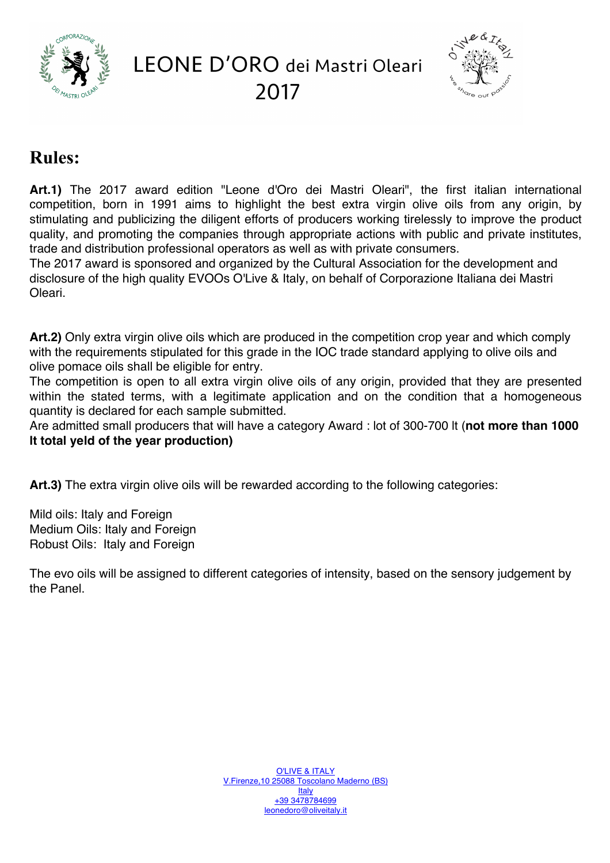

LEONE D'ORO dei Mastri Oleari 2017



# **Rules:**

**Art.1)** The 2017 award edition "Leone d'Oro dei Mastri Oleari", the first italian international competition, born in 1991 aims to highlight the best extra virgin olive oils from any origin, by stimulating and publicizing the diligent efforts of producers working tirelessly to improve the product quality, and promoting the companies through appropriate actions with public and private institutes, trade and distribution professional operators as well as with private consumers.

The 2017 award is sponsored and organized by the Cultural Association for the development and disclosure of the high quality EVOOs O'Live & Italy, on behalf of Corporazione Italiana dei Mastri Oleari.

**Art.2)** Only extra virgin olive oils which are produced in the competition crop year and which comply with the requirements stipulated for this grade in the IOC trade standard applying to olive oils and olive pomace oils shall be eligible for entry.

The competition is open to all extra virgin olive oils of any origin, provided that they are presented within the stated terms, with a legitimate application and on the condition that a homogeneous quantity is declared for each sample submitted.

Are admitted small producers that will have a category Award : lot of 300-700 lt (**not more than 1000 lt total yeld of the year production)**

**Art.3)** The extra virgin olive oils will be rewarded according to the following categories:

Mild oils: Italy and Foreign Medium Oils: Italy and Foreign Robust Oils: Italy and Foreign

The evo oils will be assigned to different categories of intensity, based on the sensory judgement by the Panel.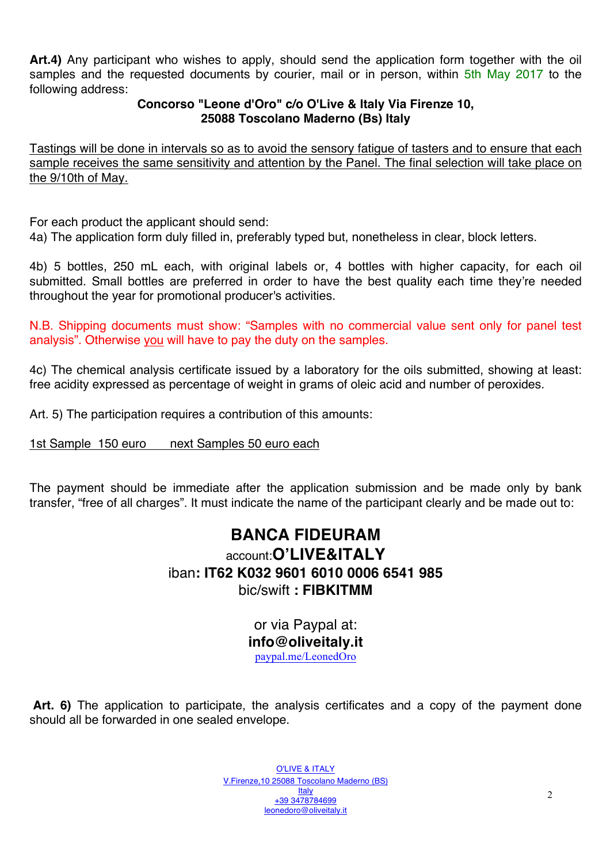**Art.4)** Any participant who wishes to apply, should send the application form together with the oil samples and the requested documents by courier, mail or in person, within 5th May 2017 to the following address:

### **Concorso "Leone d'Oro" c/o O'Live & Italy Via Firenze 10, 25088 Toscolano Maderno (Bs) Italy**

Tastings will be done in intervals so as to avoid the sensory fatigue of tasters and to ensure that each sample receives the same sensitivity and attention by the Panel. The final selection will take place on the 9/10th of May.

For each product the applicant should send:

4a) The application form duly filled in, preferably typed but, nonetheless in clear, block letters.

4b) 5 bottles, 250 mL each, with original labels or, 4 bottles with higher capacity, for each oil submitted. Small bottles are preferred in order to have the best quality each time they're needed throughout the year for promotional producer's activities.

N.B. Shipping documents must show: "Samples with no commercial value sent only for panel test analysis". Otherwise you will have to pay the duty on the samples.

4c) The chemical analysis certificate issued by a laboratory for the oils submitted, showing at least: free acidity expressed as percentage of weight in grams of oleic acid and number of peroxides.

Art. 5) The participation requires a contribution of this amounts:

1st Sample 150 euro next Samples 50 euro each

The payment should be immediate after the application submission and be made only by bank transfer, "free of all charges". It must indicate the name of the participant clearly and be made out to:

## **BANCA FIDEURAM** account:**O'LIVE&ITALY** iban**: IT62 K032 9601 6010 0006 6541 985** bic/swift **: FIBKITMM**

or via Paypal at: **info@oliveitaly.it** paypal.me/LeonedOro

**Art. 6)** The application to participate, the analysis certificates and a copy of the payment done should all be forwarded in one sealed envelope.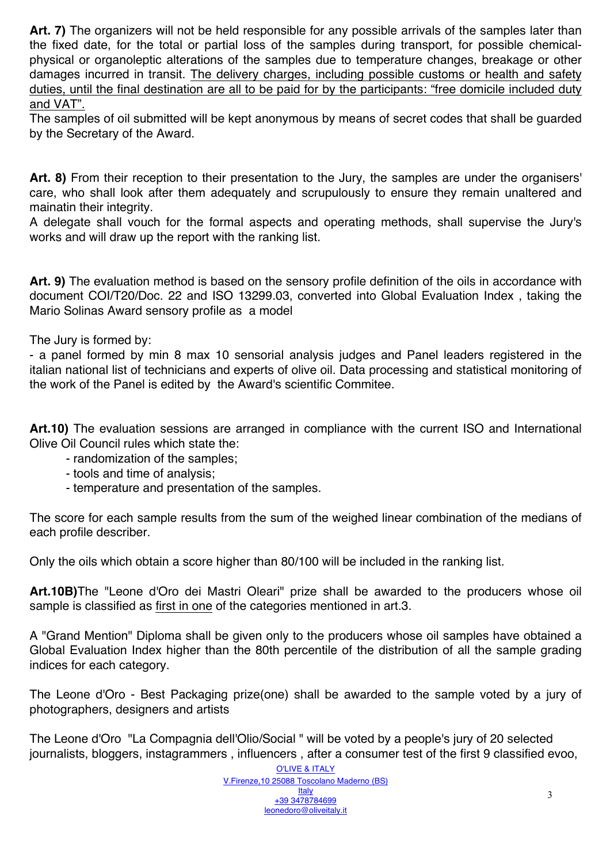**Art. 7)** The organizers will not be held responsible for any possible arrivals of the samples later than the fixed date, for the total or partial loss of the samples during transport, for possible chemicalphysical or organoleptic alterations of the samples due to temperature changes, breakage or other damages incurred in transit. The delivery charges, including possible customs or health and safety duties, until the final destination are all to be paid for by the participants: "free domicile included duty and VAT".

The samples of oil submitted will be kept anonymous by means of secret codes that shall be guarded by the Secretary of the Award.

**Art. 8)** From their reception to their presentation to the Jury, the samples are under the organisers' care, who shall look after them adequately and scrupulously to ensure they remain unaltered and mainatin their integrity.

A delegate shall vouch for the formal aspects and operating methods, shall supervise the Jury's works and will draw up the report with the ranking list.

**Art. 9)** The evaluation method is based on the sensory profile definition of the oils in accordance with document COI/T20/Doc. 22 and ISO 13299.03, converted into Global Evaluation Index , taking the Mario Solinas Award sensory profile as a model

The Jury is formed by:

- a panel formed by min 8 max 10 sensorial analysis judges and Panel leaders registered in the italian national list of technicians and experts of olive oil. Data processing and statistical monitoring of the work of the Panel is edited by the Award's scientific Commitee.

**Art.10)** The evaluation sessions are arranged in compliance with the current ISO and International Olive Oil Council rules which state the:

- randomization of the samples;
- tools and time of analysis;
- temperature and presentation of the samples.

The score for each sample results from the sum of the weighed linear combination of the medians of each profile describer.

Only the oils which obtain a score higher than 80/100 will be included in the ranking list.

**Art.10B)**The "Leone d'Oro dei Mastri Oleari" prize shall be awarded to the producers whose oil sample is classified as first in one of the categories mentioned in art.3.

A "Grand Mention" Diploma shall be given only to the producers whose oil samples have obtained a Global Evaluation Index higher than the 80th percentile of the distribution of all the sample grading indices for each category.

The Leone d'Oro - Best Packaging prize(one) shall be awarded to the sample voted by a jury of photographers, designers and artists

The Leone d'Oro "La Compagnia dell'Olio/Social " will be voted by a people's jury of 20 selected journalists, bloggers, instagrammers , influencers , after a consumer test of the first 9 classified evoo,